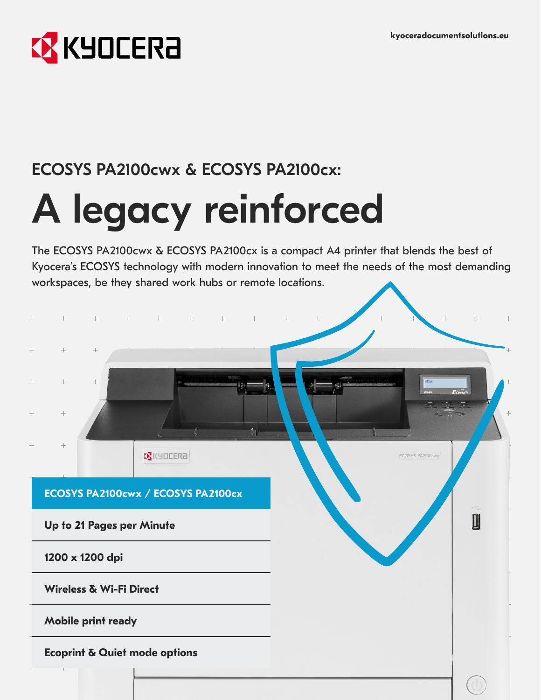

## ECOSYS PA2100cwx & ECOSYS PA2100cx:

# A legacy reinforced

The ECOSYS PA2100cwx & ECOSYS PA2100cx is a compact A4 printer that blends the best of Kyocera's ECOSYS technology with modern innovation to meet the needs of the most demanding workspaces, be they shared work hubs or remote locations.